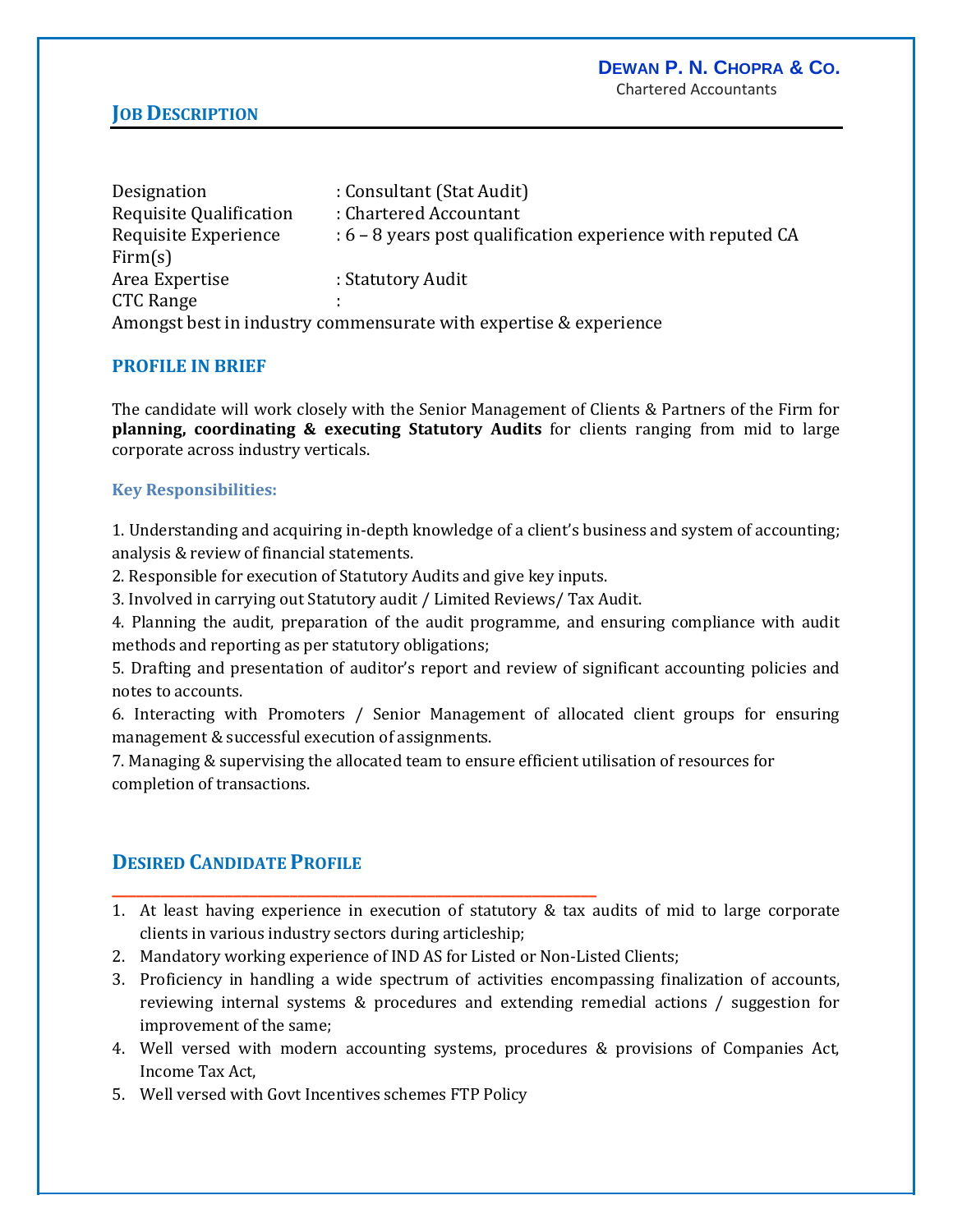## **JOB DESCRIPTION**

| Designation                                                       | : Consultant (Stat Audit)                                     |
|-------------------------------------------------------------------|---------------------------------------------------------------|
| Requisite Qualification                                           | : Chartered Accountant                                        |
| Requisite Experience                                              | $: 6 - 8$ years post qualification experience with reputed CA |
| Firm(s)                                                           |                                                               |
| Area Expertise                                                    | : Statutory Audit                                             |
| CTC Range                                                         |                                                               |
| Amongst best in industry commensurate with expertise & experience |                                                               |

### **PROFILE IN BRIEF**

The candidate will work closely with the Senior Management of Clients & Partners of the Firm for **planning, coordinating & executing Statutory Audits** for clients ranging from mid to large corporate across industry verticals.

#### **Key Responsibilities:**

1. Understanding and acquiring in-depth knowledge of a client's business and system of accounting; analysis & review of financial statements.

2. Responsible for execution of Statutory Audits and give key inputs.

3. Involved in carrying out Statutory audit / Limited Reviews/ Tax Audit.

4. Planning the audit, preparation of the audit programme, and ensuring compliance with audit methods and reporting as per statutory obligations;

5. Drafting and presentation of auditor's report and review of significant accounting policies and notes to accounts.

6. Interacting with Promoters / Senior Management of allocated client groups for ensuring management & successful execution of assignments.

7. Managing & supervising the allocated team to ensure efficient utilisation of resources for completion of transactions.

# **DESIRED CANDIDATE PROFILE**

- 1. At least having experience in execution of statutory & tax audits of mid to large corporate clients in various industry sectors during articleship;
- 2. Mandatory working experience of IND AS for Listed or Non-Listed Clients;

**\_\_\_\_\_\_\_\_\_\_\_\_\_\_\_\_\_\_\_\_\_\_\_\_\_\_\_\_\_\_\_\_\_\_\_\_\_\_\_\_\_\_\_\_\_\_\_\_\_\_\_\_\_\_\_\_\_\_\_\_**

- 3. Proficiency in handling a wide spectrum of activities encompassing finalization of accounts, reviewing internal systems & procedures and extending remedial actions / suggestion for improvement of the same;
- 4. Well versed with modern accounting systems, procedures & provisions of Companies Act, Income Tax Act,
- 5. Well versed with Govt Incentives schemes FTP Policy